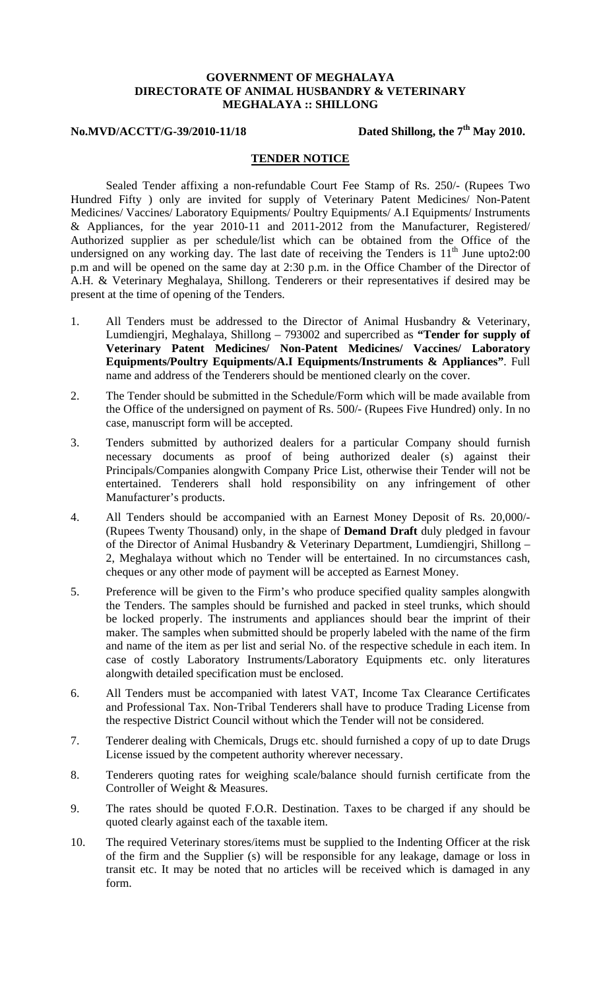## **GOVERNMENT OF MEGHALAYA DIRECTORATE OF ANIMAL HUSBANDRY & VETERINARY MEGHALAYA :: SHILLONG**

## **No.MVD/ACCTT/G-39/2010-11/18** Dated Shillong, the 7<sup>th</sup> May 2010.

## **TENDER NOTICE**

Sealed Tender affixing a non-refundable Court Fee Stamp of Rs. 250/- (Rupees Two Hundred Fifty ) only are invited for supply of Veterinary Patent Medicines/ Non-Patent Medicines/ Vaccines/ Laboratory Equipments/ Poultry Equipments/ A.I Equipments/ Instruments & Appliances, for the year 2010-11 and 2011-2012 from the Manufacturer, Registered/ Authorized supplier as per schedule/list which can be obtained from the Office of the undersigned on any working day. The last date of receiving the Tenders is  $11<sup>th</sup>$  June upto 2:00 p.m and will be opened on the same day at 2:30 p.m. in the Office Chamber of the Director of A.H. & Veterinary Meghalaya, Shillong. Tenderers or their representatives if desired may be present at the time of opening of the Tenders.

- 1. All Tenders must be addressed to the Director of Animal Husbandry & Veterinary, Lumdiengjri, Meghalaya, Shillong – 793002 and supercribed as **"Tender for supply of Veterinary Patent Medicines/ Non-Patent Medicines/ Vaccines/ Laboratory Equipments/Poultry Equipments/A.I Equipments/Instruments & Appliances"**. Full name and address of the Tenderers should be mentioned clearly on the cover.
- 2. The Tender should be submitted in the Schedule/Form which will be made available from the Office of the undersigned on payment of Rs. 500/- (Rupees Five Hundred) only. In no case, manuscript form will be accepted.
- 3. Tenders submitted by authorized dealers for a particular Company should furnish necessary documents as proof of being authorized dealer (s) against their Principals/Companies alongwith Company Price List, otherwise their Tender will not be entertained. Tenderers shall hold responsibility on any infringement of other Manufacturer's products.
- 4. All Tenders should be accompanied with an Earnest Money Deposit of Rs. 20,000/- (Rupees Twenty Thousand) only, in the shape of **Demand Draft** duly pledged in favour of the Director of Animal Husbandry & Veterinary Department, Lumdiengjri, Shillong – 2, Meghalaya without which no Tender will be entertained. In no circumstances cash, cheques or any other mode of payment will be accepted as Earnest Money.
- 5. Preference will be given to the Firm's who produce specified quality samples alongwith the Tenders. The samples should be furnished and packed in steel trunks, which should be locked properly. The instruments and appliances should bear the imprint of their maker. The samples when submitted should be properly labeled with the name of the firm and name of the item as per list and serial No. of the respective schedule in each item. In case of costly Laboratory Instruments/Laboratory Equipments etc. only literatures alongwith detailed specification must be enclosed.
- 6. All Tenders must be accompanied with latest VAT, Income Tax Clearance Certificates and Professional Tax. Non-Tribal Tenderers shall have to produce Trading License from the respective District Council without which the Tender will not be considered.
- 7. Tenderer dealing with Chemicals, Drugs etc. should furnished a copy of up to date Drugs License issued by the competent authority wherever necessary.
- 8. Tenderers quoting rates for weighing scale/balance should furnish certificate from the Controller of Weight & Measures.
- 9. The rates should be quoted F.O.R. Destination. Taxes to be charged if any should be quoted clearly against each of the taxable item.
- 10. The required Veterinary stores/items must be supplied to the Indenting Officer at the risk of the firm and the Supplier (s) will be responsible for any leakage, damage or loss in transit etc. It may be noted that no articles will be received which is damaged in any form.